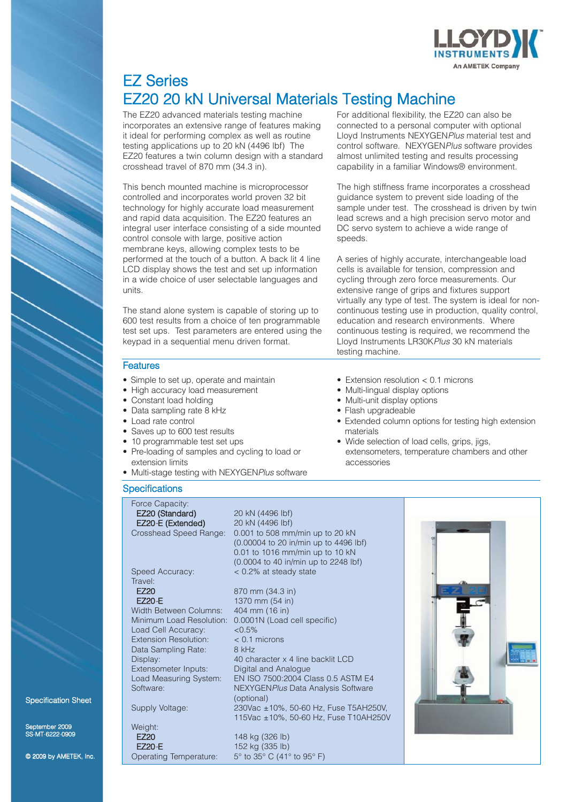

# EZ Series EZ20 20 kN Universal Materials Testing Machine

The EZ20 advanced materials testing machine incorporates an extensive range of features making it ideal for performing complex as well as routine testing applications up to 20 kN (4496 lbf) The EZ20 features a twin column design with a standard crosshead travel of 870 mm (34.3 in).

This bench mounted machine is microprocessor controlled and incorporates world proven 32 bit technology for highly accurate load measurement and rapid data acquisition. The EZ20 features an integral user interface consisting of a side mounted control console with large, positive action membrane keys, allowing complex tests to be performed at the touch of a button. A back lit 4 line LCD display shows the test and set up information in a wide choice of user selectable languages and units.

The stand alone system is capable of storing up to 600 test results from a choice of ten programmable test set ups. Test parameters are entered using the keypad in a sequential menu driven format.

#### **Features**

- Simple to set up, operate and maintain
- High accuracy load measurement
- Constant load holding
- Data sampling rate 8 kHz
- Load rate control
- Saves up to 600 test results
- 10 programmable test set ups
- Pre-loading of samples and cycling to load or extension limits
- Multi-stage testing with NEXYGEN*Plus* software

#### **Specifications**

#### Force Capacity:

EZ20 (Standard) 20 kN (4496 lbf) EZ20*-*E (Extended) 20 kN (4496 lbf) Crosshead Speed Range: 0.001 to 508 mm/min up to 20 kN

Travel:<br>F720

Load Cell Accuracy:  $< 0.5\%$ <br>Extension Resolution:  $< 0.1$  microns Extension Resolution: Data Sampling Rate: 8 kHz

Weight:<br>**EZ20** 

mber 2009 S-MT-6222-0909

© 2009 by AMETEK, Inc.

Specification Sheet

Speed Accuracy: < 0.2% at steady state 870 mm (34.3 in) EZ20*-*E 1370 mm (54 in) Width Between Columns: 404 mm (16 in)<br>Minimum Load Resolution: 0.0001N (Load 0.0001N (Load cell specific) Display: 40 character x 4 line backlit LCD Extensometer Inputs: Digital and Analogue Load Measuring System: EN ISO 7500:2004 Class 0.5 ASTM E4 Software: NEXYGEN*Plus* Data Analysis Software (optional) Supply Voltage: 230Vac ±10%, 50-60 Hz, Fuse T5AH250V, 115Vac ±10%, 50-60 Hz, Fuse T10AH250V 148 kg (326 lb) EZ20*-*E 152 kg (335 lb) Operating Temperature: 5° to 35° C (41° to 95° F)

(0.00004 to 20 in/min up to 4496 lbf) 0.01 to 1016 mm/min up to 10 kN (0.0004 to 40 in/min up to 2248 lbf)

For additional flexibility, the EZ20 can also be connected to a personal computer with optional Lloyd Instruments NEXYGEN*Plus* material test and control software. NEXYGEN*Plus* software provides almost unlimited testing and results processing capability in a familiar Windows® environment.

The high stiffness frame incorporates a crosshead guidance system to prevent side loading of the sample under test. The crosshead is driven by twin lead screws and a high precision servo motor and DC servo system to achieve a wide range of speeds.

A series of highly accurate, interchangeable load cells is available for tension, compression and cycling through zero force measurements. Our extensive range of grips and fixtures support virtually any type of test. The system is ideal for noncontinuous testing use in production, quality control, education and research environments. Where continuous testing is required, we recommend the Lloyd Instruments LR30K*Plus* 30 kN materials testing machine.

- Extension resolution < 0.1 microns
- Multi-lingual display options
- Multi-unit display options
- Flash upgradeable
- Extended column options for testing high extension materials
- Wide selection of load cells, grips, jigs, extensometers, temperature chambers and other accessories